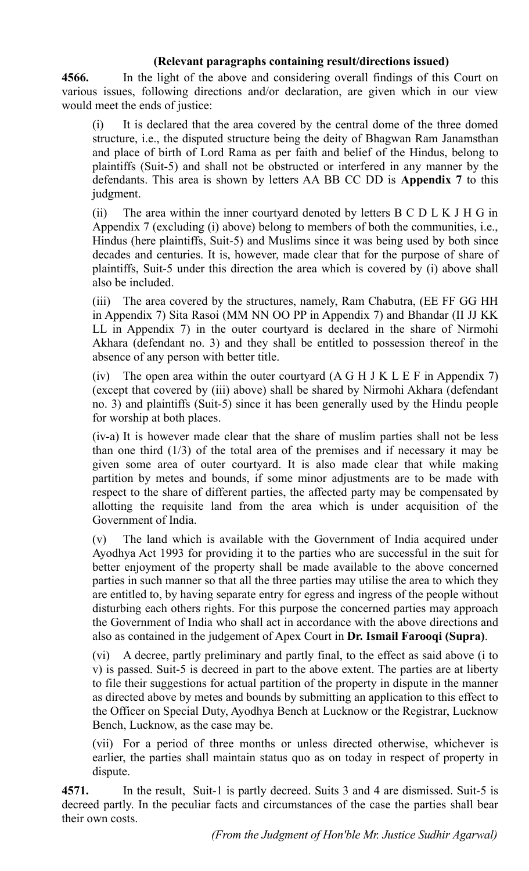## **(Relevant paragraphs containing result/directions issued)**

**4566.** In the light of the above and considering overall findings of this Court on various issues, following directions and/or declaration, are given which in our view would meet the ends of justice:

(i) It is declared that the area covered by the central dome of the three domed structure, i.e., the disputed structure being the deity of Bhagwan Ram Janamsthan and place of birth of Lord Rama as per faith and belief of the Hindus, belong to plaintiffs (Suit-5) and shall not be obstructed or interfered in any manner by the defendants. This area is shown by letters AA BB CC DD is **Appendix 7** to this judgment.

(ii) The area within the inner courtyard denoted by letters B C D L K J H G in Appendix 7 (excluding (i) above) belong to members of both the communities, i.e., Hindus (here plaintiffs, Suit-5) and Muslims since it was being used by both since decades and centuries. It is, however, made clear that for the purpose of share of plaintiffs, Suit-5 under this direction the area which is covered by (i) above shall also be included.

(iii) The area covered by the structures, namely, Ram Chabutra, (EE FF GG HH in Appendix 7) Sita Rasoi (MM NN OO PP in Appendix 7) and Bhandar (II JJ KK LL in Appendix 7) in the outer courtyard is declared in the share of Nirmohi Akhara (defendant no. 3) and they shall be entitled to possession thereof in the absence of any person with better title.

(iv) The open area within the outer courtyard  $(AG H J K L E F in Appendix 7)$ (except that covered by (iii) above) shall be shared by Nirmohi Akhara (defendant no. 3) and plaintiffs (Suit-5) since it has been generally used by the Hindu people for worship at both places.

(iv-a) It is however made clear that the share of muslim parties shall not be less than one third (1/3) of the total area of the premises and if necessary it may be given some area of outer courtyard. It is also made clear that while making partition by metes and bounds, if some minor adjustments are to be made with respect to the share of different parties, the affected party may be compensated by allotting the requisite land from the area which is under acquisition of the Government of India.

(v) The land which is available with the Government of India acquired under Ayodhya Act 1993 for providing it to the parties who are successful in the suit for better enjoyment of the property shall be made available to the above concerned parties in such manner so that all the three parties may utilise the area to which they are entitled to, by having separate entry for egress and ingress of the people without disturbing each others rights. For this purpose the concerned parties may approach the Government of India who shall act in accordance with the above directions and also as contained in the judgement of Apex Court in **Dr. Ismail Farooqi (Supra)**.

(vi) A decree, partly preliminary and partly final, to the effect as said above (i to v) is passed. Suit-5 is decreed in part to the above extent. The parties are at liberty to file their suggestions for actual partition of the property in dispute in the manner as directed above by metes and bounds by submitting an application to this effect to the Officer on Special Duty, Ayodhya Bench at Lucknow or the Registrar, Lucknow Bench, Lucknow, as the case may be.

(vii) For a period of three months or unless directed otherwise, whichever is earlier, the parties shall maintain status quo as on today in respect of property in dispute.

**4571.** In the result, Suit-1 is partly decreed. Suits 3 and 4 are dismissed. Suit-5 is decreed partly. In the peculiar facts and circumstances of the case the parties shall bear their own costs.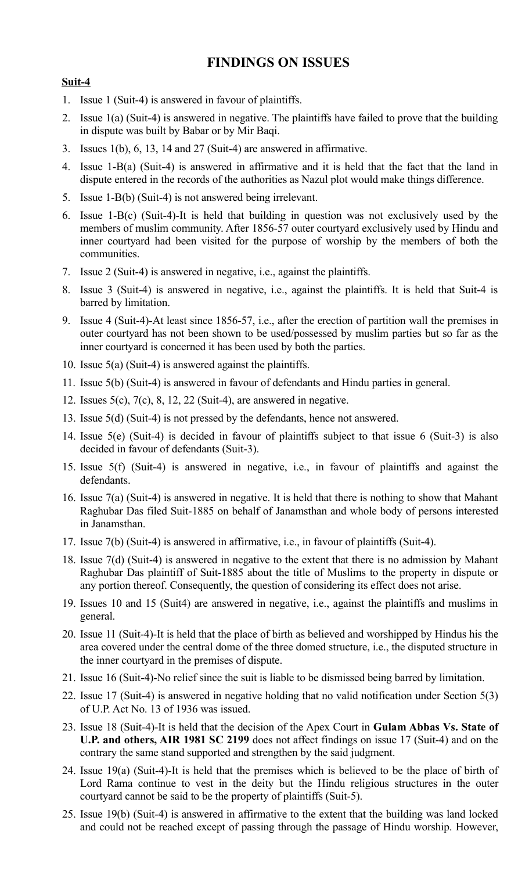# **FINDINGS ON ISSUES**

### **Suit-4**

- 1. Issue 1 (Suit-4) is answered in favour of plaintiffs.
- 2. Issue 1(a) (Suit-4) is answered in negative. The plaintiffs have failed to prove that the building in dispute was built by Babar or by Mir Baqi.
- 3. Issues 1(b), 6, 13, 14 and 27 (Suit-4) are answered in affirmative.
- 4. Issue 1-B(a) (Suit-4) is answered in affirmative and it is held that the fact that the land in dispute entered in the records of the authorities as Nazul plot would make things difference.
- 5. Issue 1-B(b) (Suit-4) is not answered being irrelevant.
- 6. Issue 1-B(c) (Suit-4)-It is held that building in question was not exclusively used by the members of muslim community. After 1856-57 outer courtyard exclusively used by Hindu and inner courtyard had been visited for the purpose of worship by the members of both the communities.
- 7. Issue 2 (Suit-4) is answered in negative, i.e., against the plaintiffs.
- 8. Issue 3 (Suit-4) is answered in negative, i.e., against the plaintiffs. It is held that Suit-4 is barred by limitation.
- 9. Issue 4 (Suit-4)-At least since 1856-57, i.e., after the erection of partition wall the premises in outer courtyard has not been shown to be used/possessed by muslim parties but so far as the inner courtyard is concerned it has been used by both the parties.
- 10. Issue 5(a) (Suit-4) is answered against the plaintiffs.
- 11. Issue 5(b) (Suit-4) is answered in favour of defendants and Hindu parties in general.
- 12. Issues 5(c), 7(c), 8, 12, 22 (Suit-4), are answered in negative.
- 13. Issue 5(d) (Suit-4) is not pressed by the defendants, hence not answered.
- 14. Issue 5(e) (Suit-4) is decided in favour of plaintiffs subject to that issue 6 (Suit-3) is also decided in favour of defendants (Suit-3).
- 15. Issue 5(f) (Suit-4) is answered in negative, i.e., in favour of plaintiffs and against the defendants.
- 16. Issue 7(a) (Suit-4) is answered in negative. It is held that there is nothing to show that Mahant Raghubar Das filed Suit-1885 on behalf of Janamsthan and whole body of persons interested in Janamsthan.
- 17. Issue 7(b) (Suit-4) is answered in affirmative, i.e., in favour of plaintiffs (Suit-4).
- 18. Issue 7(d) (Suit-4) is answered in negative to the extent that there is no admission by Mahant Raghubar Das plaintiff of Suit-1885 about the title of Muslims to the property in dispute or any portion thereof. Consequently, the question of considering its effect does not arise.
- 19. Issues 10 and 15 (Suit4) are answered in negative, i.e., against the plaintiffs and muslims in general.
- 20. Issue 11 (Suit-4)-It is held that the place of birth as believed and worshipped by Hindus his the area covered under the central dome of the three domed structure, i.e., the disputed structure in the inner courtyard in the premises of dispute.
- 21. Issue 16 (Suit-4)-No relief since the suit is liable to be dismissed being barred by limitation.
- 22. Issue 17 (Suit-4) is answered in negative holding that no valid notification under Section 5(3) of U.P. Act No. 13 of 1936 was issued.
- 23. Issue 18 (Suit-4)-It is held that the decision of the Apex Court in **Gulam Abbas Vs. State of U.P. and others, AIR 1981 SC 2199** does not affect findings on issue 17 (Suit-4) and on the contrary the same stand supported and strengthen by the said judgment.
- 24. Issue 19(a) (Suit-4)-It is held that the premises which is believed to be the place of birth of Lord Rama continue to vest in the deity but the Hindu religious structures in the outer courtyard cannot be said to be the property of plaintiffs (Suit-5).
- 25. Issue 19(b) (Suit-4) is answered in affirmative to the extent that the building was land locked and could not be reached except of passing through the passage of Hindu worship. However,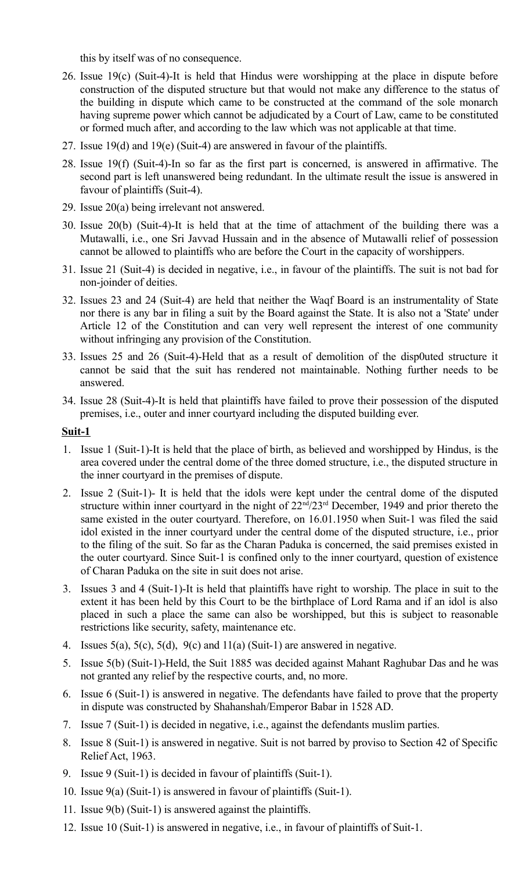this by itself was of no consequence.

- 26. Issue 19(c) (Suit-4)-It is held that Hindus were worshipping at the place in dispute before construction of the disputed structure but that would not make any difference to the status of the building in dispute which came to be constructed at the command of the sole monarch having supreme power which cannot be adjudicated by a Court of Law, came to be constituted or formed much after, and according to the law which was not applicable at that time.
- 27. Issue 19(d) and 19(e) (Suit-4) are answered in favour of the plaintiffs.
- 28. Issue 19(f) (Suit-4)-In so far as the first part is concerned, is answered in affirmative. The second part is left unanswered being redundant. In the ultimate result the issue is answered in favour of plaintiffs (Suit-4).
- 29. Issue 20(a) being irrelevant not answered.
- 30. Issue 20(b) (Suit-4)-It is held that at the time of attachment of the building there was a Mutawalli, i.e., one Sri Javvad Hussain and in the absence of Mutawalli relief of possession cannot be allowed to plaintiffs who are before the Court in the capacity of worshippers.
- 31. Issue 21 (Suit-4) is decided in negative, i.e., in favour of the plaintiffs. The suit is not bad for non-joinder of deities.
- 32. Issues 23 and 24 (Suit-4) are held that neither the Waqf Board is an instrumentality of State nor there is any bar in filing a suit by the Board against the State. It is also not a 'State' under Article 12 of the Constitution and can very well represent the interest of one community without infringing any provision of the Constitution.
- 33. Issues 25 and 26 (Suit-4)-Held that as a result of demolition of the disp0uted structure it cannot be said that the suit has rendered not maintainable. Nothing further needs to be answered.
- 34. Issue 28 (Suit-4)-It is held that plaintiffs have failed to prove their possession of the disputed premises, i.e., outer and inner courtyard including the disputed building ever.

### **Suit-1**

- 1. Issue 1 (Suit-1)-It is held that the place of birth, as believed and worshipped by Hindus, is the area covered under the central dome of the three domed structure, i.e., the disputed structure in the inner courtyard in the premises of dispute.
- 2. Issue 2 (Suit-1)- It is held that the idols were kept under the central dome of the disputed structure within inner courtyard in the night of  $22^{\text{nd}}/23^{\text{rd}}$  December, 1949 and prior thereto the same existed in the outer courtyard. Therefore, on 16.01.1950 when Suit-1 was filed the said idol existed in the inner courtyard under the central dome of the disputed structure, i.e., prior to the filing of the suit. So far as the Charan Paduka is concerned, the said premises existed in the outer courtyard. Since Suit-1 is confined only to the inner courtyard, question of existence of Charan Paduka on the site in suit does not arise.
- 3. Issues 3 and 4 (Suit-1)-It is held that plaintiffs have right to worship. The place in suit to the extent it has been held by this Court to be the birthplace of Lord Rama and if an idol is also placed in such a place the same can also be worshipped, but this is subject to reasonable restrictions like security, safety, maintenance etc.
- 4. Issues  $5(a)$ ,  $5(c)$ ,  $5(d)$ ,  $9(c)$  and  $11(a)$  (Suit-1) are answered in negative.
- 5. Issue 5(b) (Suit-1)-Held, the Suit 1885 was decided against Mahant Raghubar Das and he was not granted any relief by the respective courts, and, no more.
- 6. Issue 6 (Suit-1) is answered in negative. The defendants have failed to prove that the property in dispute was constructed by Shahanshah/Emperor Babar in 1528 AD.
- 7. Issue 7 (Suit-1) is decided in negative, i.e., against the defendants muslim parties.
- 8. Issue 8 (Suit-1) is answered in negative. Suit is not barred by proviso to Section 42 of Specific Relief Act, 1963.
- 9. Issue 9 (Suit-1) is decided in favour of plaintiffs (Suit-1).
- 10. Issue 9(a) (Suit-1) is answered in favour of plaintiffs (Suit-1).
- 11. Issue 9(b) (Suit-1) is answered against the plaintiffs.
- 12. Issue 10 (Suit-1) is answered in negative, i.e., in favour of plaintiffs of Suit-1.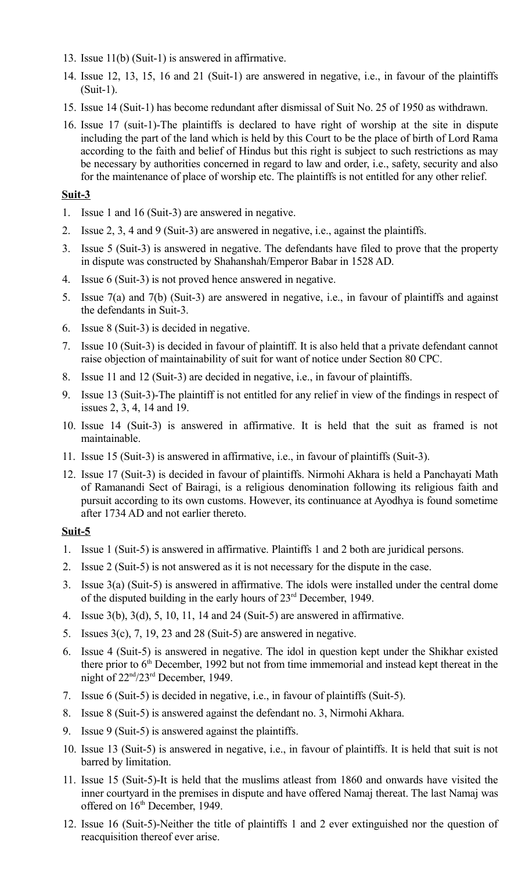- 13. Issue 11(b) (Suit-1) is answered in affirmative.
- 14. Issue 12, 13, 15, 16 and 21 (Suit-1) are answered in negative, i.e., in favour of the plaintiffs (Suit-1).
- 15. Issue 14 (Suit-1) has become redundant after dismissal of Suit No. 25 of 1950 as withdrawn.
- 16. Issue 17 (suit-1)-The plaintiffs is declared to have right of worship at the site in dispute including the part of the land which is held by this Court to be the place of birth of Lord Rama according to the faith and belief of Hindus but this right is subject to such restrictions as may be necessary by authorities concerned in regard to law and order, i.e., safety, security and also for the maintenance of place of worship etc. The plaintiffs is not entitled for any other relief.

### **Suit-3**

- 1. Issue 1 and 16 (Suit-3) are answered in negative.
- 2. Issue 2, 3, 4 and 9 (Suit-3) are answered in negative, i.e., against the plaintiffs.
- 3. Issue 5 (Suit-3) is answered in negative. The defendants have filed to prove that the property in dispute was constructed by Shahanshah/Emperor Babar in 1528 AD.
- 4. Issue 6 (Suit-3) is not proved hence answered in negative.
- 5. Issue 7(a) and 7(b) (Suit-3) are answered in negative, i.e., in favour of plaintiffs and against the defendants in Suit-3.
- 6. Issue 8 (Suit-3) is decided in negative.
- 7. Issue 10 (Suit-3) is decided in favour of plaintiff. It is also held that a private defendant cannot raise objection of maintainability of suit for want of notice under Section 80 CPC.
- 8. Issue 11 and 12 (Suit-3) are decided in negative, i.e., in favour of plaintiffs.
- 9. Issue 13 (Suit-3)-The plaintiff is not entitled for any relief in view of the findings in respect of issues 2, 3, 4, 14 and 19.
- 10. Issue 14 (Suit-3) is answered in affirmative. It is held that the suit as framed is not maintainable.
- 11. Issue 15 (Suit-3) is answered in affirmative, i.e., in favour of plaintiffs (Suit-3).
- 12. Issue 17 (Suit-3) is decided in favour of plaintiffs. Nirmohi Akhara is held a Panchayati Math of Ramanandi Sect of Bairagi, is a religious denomination following its religious faith and pursuit according to its own customs. However, its continuance at Ayodhya is found sometime after 1734 AD and not earlier thereto.

### **Suit-5**

- 1. Issue 1 (Suit-5) is answered in affirmative. Plaintiffs 1 and 2 both are juridical persons.
- 2. Issue 2 (Suit-5) is not answered as it is not necessary for the dispute in the case.
- 3. Issue 3(a) (Suit-5) is answered in affirmative. The idols were installed under the central dome of the disputed building in the early hours of 23rd December, 1949.
- 4. Issue 3(b), 3(d), 5, 10, 11, 14 and 24 (Suit-5) are answered in affirmative.
- 5. Issues  $3(c)$ , 7, 19, 23 and 28 (Suit-5) are answered in negative.
- 6. Issue 4 (Suit-5) is answered in negative. The idol in question kept under the Shikhar existed there prior to  $6<sup>th</sup>$  December, 1992 but not from time immemorial and instead kept thereat in the night of 22nd/23rd December, 1949.
- 7. Issue 6 (Suit-5) is decided in negative, i.e., in favour of plaintiffs (Suit-5).
- 8. Issue 8 (Suit-5) is answered against the defendant no. 3, Nirmohi Akhara.
- 9. Issue 9 (Suit-5) is answered against the plaintiffs.
- 10. Issue 13 (Suit-5) is answered in negative, i.e., in favour of plaintiffs. It is held that suit is not barred by limitation.
- 11. Issue 15 (Suit-5)-It is held that the muslims atleast from 1860 and onwards have visited the inner courtyard in the premises in dispute and have offered Namaj thereat. The last Namaj was offered on  $16<sup>th</sup>$  December, 1949.
- 12. Issue 16 (Suit-5)-Neither the title of plaintiffs 1 and 2 ever extinguished nor the question of reacquisition thereof ever arise.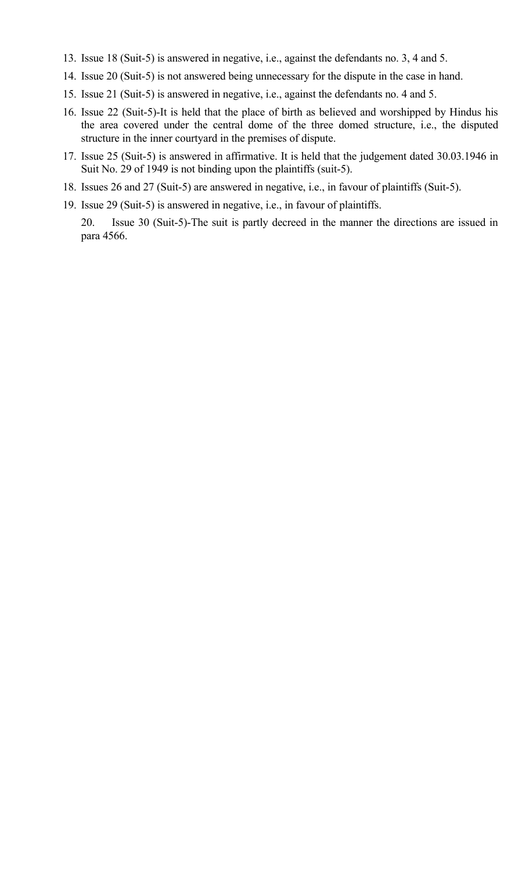- 13. Issue 18 (Suit-5) is answered in negative, i.e., against the defendants no. 3, 4 and 5.
- 14. Issue 20 (Suit-5) is not answered being unnecessary for the dispute in the case in hand.
- 15. Issue 21 (Suit-5) is answered in negative, i.e., against the defendants no. 4 and 5.
- 16. Issue 22 (Suit-5)-It is held that the place of birth as believed and worshipped by Hindus his the area covered under the central dome of the three domed structure, i.e., the disputed structure in the inner courtyard in the premises of dispute.
- 17. Issue 25 (Suit-5) is answered in affirmative. It is held that the judgement dated 30.03.1946 in Suit No. 29 of 1949 is not binding upon the plaintiffs (suit-5).
- 18. Issues 26 and 27 (Suit-5) are answered in negative, i.e., in favour of plaintiffs (Suit-5).
- 19. Issue 29 (Suit-5) is answered in negative, i.e., in favour of plaintiffs.

20. Issue 30 (Suit-5)-The suit is partly decreed in the manner the directions are issued in para 4566.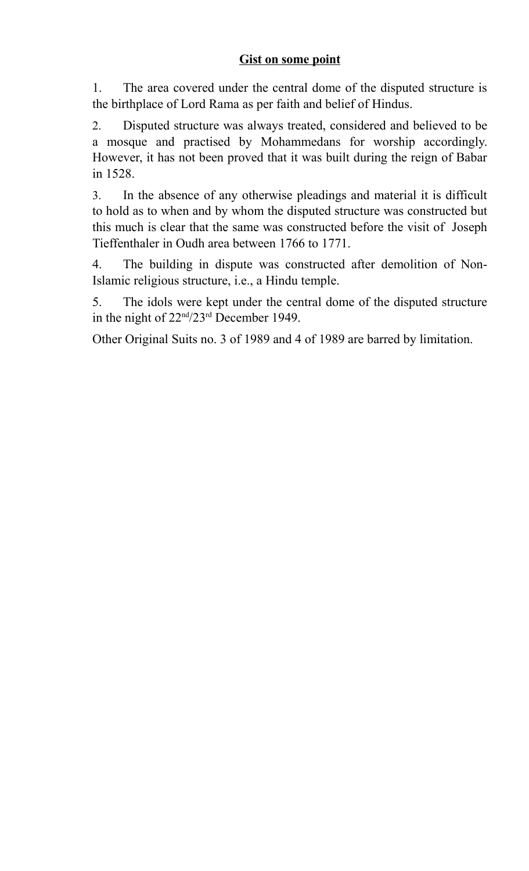# **Gist on some point**

1. The area covered under the central dome of the disputed structure is the birthplace of Lord Rama as per faith and belief of Hindus.

2. Disputed structure was always treated, considered and believed to be a mosque and practised by Mohammedans for worship accordingly. However, it has not been proved that it was built during the reign of Babar in 1528.

3. In the absence of any otherwise pleadings and material it is difficult to hold as to when and by whom the disputed structure was constructed but this much is clear that the same was constructed before the visit of Joseph Tieffenthaler in Oudh area between 1766 to 1771.

4. The building in dispute was constructed after demolition of Non-Islamic religious structure, i.e., a Hindu temple.

5. The idols were kept under the central dome of the disputed structure in the night of 22nd/23rd December 1949.

Other Original Suits no. 3 of 1989 and 4 of 1989 are barred by limitation.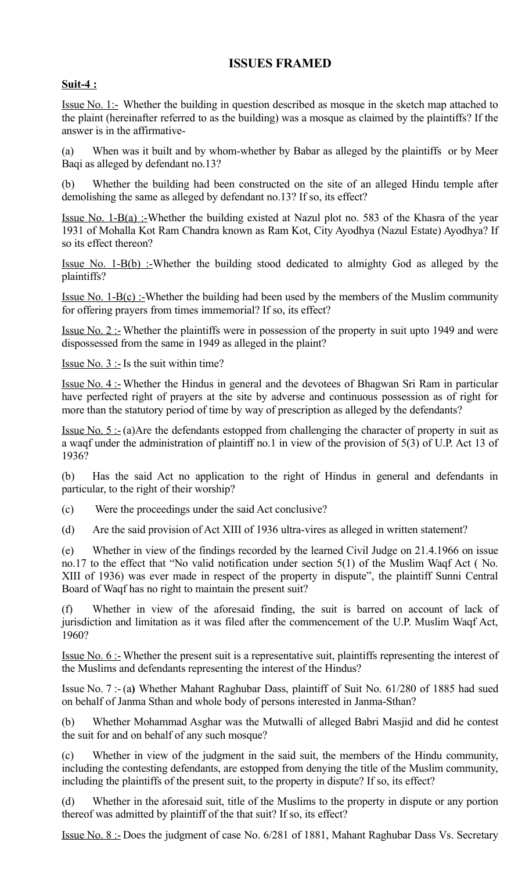# **ISSUES FRAMED**

## **Suit-4 :**

Issue No. 1:- Whether the building in question described as mosque in the sketch map attached to the plaint (hereinafter referred to as the building) was a mosque as claimed by the plaintiffs? If the answer is in the affirmative-

(a) When was it built and by whom-whether by Babar as alleged by the plaintiffs or by Meer Baqi as alleged by defendant no.13?

(b) Whether the building had been constructed on the site of an alleged Hindu temple after demolishing the same as alleged by defendant no.13? If so, its effect?

Issue No. 1-B(a) :-Whether the building existed at Nazul plot no. 583 of the Khasra of the year 1931 of Mohalla Kot Ram Chandra known as Ram Kot, City Ayodhya (Nazul Estate) Ayodhya? If so its effect thereon?

Issue No. 1-B(b) :-Whether the building stood dedicated to almighty God as alleged by the plaintiffs?

Issue No. 1-B(c) :-Whether the building had been used by the members of the Muslim community for offering prayers from times immemorial? If so, its effect?

Issue No. 2 :- Whether the plaintiffs were in possession of the property in suit upto 1949 and were dispossessed from the same in 1949 as alleged in the plaint?

Issue No. 3 :- Is the suit within time?

Issue No. 4 :- Whether the Hindus in general and the devotees of Bhagwan Sri Ram in particular have perfected right of prayers at the site by adverse and continuous possession as of right for more than the statutory period of time by way of prescription as alleged by the defendants?

Issue No.  $5:$  (a)Are the defendants estopped from challenging the character of property in suit as a waqf under the administration of plaintiff no.1 in view of the provision of 5(3) of U.P. Act 13 of 1936?

(b) Has the said Act no application to the right of Hindus in general and defendants in particular, to the right of their worship?

(c) Were the proceedings under the said Act conclusive?

(d) Are the said provision of Act XIII of 1936 ultra-vires as alleged in written statement?

(e) Whether in view of the findings recorded by the learned Civil Judge on 21.4.1966 on issue no.17 to the effect that "No valid notification under section 5(1) of the Muslim Waqf Act ( No. XIII of 1936) was ever made in respect of the property in dispute", the plaintiff Sunni Central Board of Waqf has no right to maintain the present suit?

(f) Whether in view of the aforesaid finding, the suit is barred on account of lack of jurisdiction and limitation as it was filed after the commencement of the U.P. Muslim Waqf Act, 1960?

Issue No. 6 :- Whether the present suit is a representative suit, plaintiffs representing the interest of the Muslims and defendants representing the interest of the Hindus?

Issue No. 7 :- (a**)** Whether Mahant Raghubar Dass, plaintiff of Suit No. 61/280 of 1885 had sued on behalf of Janma Sthan and whole body of persons interested in Janma-Sthan?

(b) Whether Mohammad Asghar was the Mutwalli of alleged Babri Masjid and did he contest the suit for and on behalf of any such mosque?

(c) Whether in view of the judgment in the said suit, the members of the Hindu community, including the contesting defendants, are estopped from denying the title of the Muslim community, including the plaintiffs of the present suit, to the property in dispute? If so, its effect?

(d) Whether in the aforesaid suit, title of the Muslims to the property in dispute or any portion thereof was admitted by plaintiff of the that suit? If so, its effect?

Issue No. 8 :- Does the judgment of case No. 6/281 of 1881, Mahant Raghubar Dass Vs. Secretary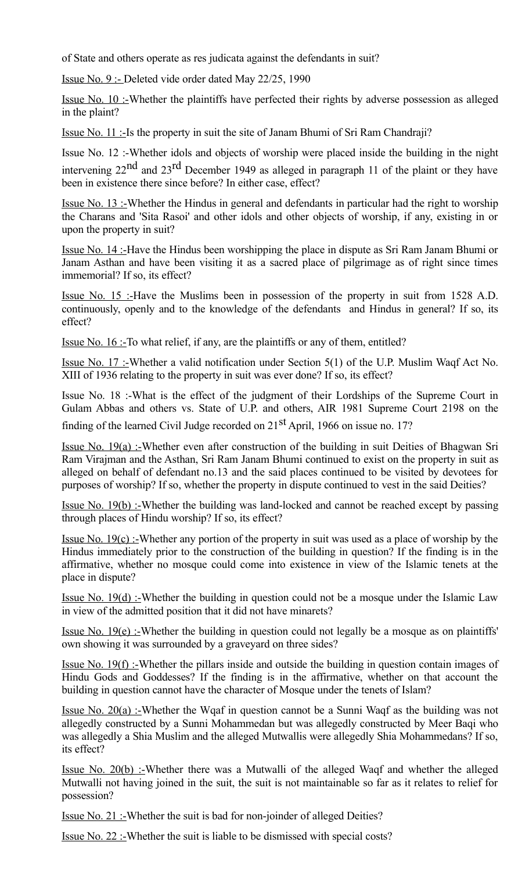of State and others operate as res judicata against the defendants in suit?

Issue No. 9 :- Deleted vide order dated May 22/25, 1990

Issue No. 10 :-Whether the plaintiffs have perfected their rights by adverse possession as alleged in the plaint?

Issue No. 11 :-Is the property in suit the site of Janam Bhumi of Sri Ram Chandraji?

Issue No. 12 :-Whether idols and objects of worship were placed inside the building in the night intervening 22<sup>nd</sup> and 23<sup>rd</sup> December 1949 as alleged in paragraph 11 of the plaint or they have been in existence there since before? In either case, effect?

Issue No. 13 :-Whether the Hindus in general and defendants in particular had the right to worship the Charans and 'Sita Rasoi' and other idols and other objects of worship, if any, existing in or upon the property in suit?

Issue No. 14 :-Have the Hindus been worshipping the place in dispute as Sri Ram Janam Bhumi or Janam Asthan and have been visiting it as a sacred place of pilgrimage as of right since times immemorial? If so, its effect?

Issue No. 15 :-Have the Muslims been in possession of the property in suit from 1528 A.D. continuously, openly and to the knowledge of the defendants and Hindus in general? If so, its effect?

Issue No. 16 :-To what relief, if any, are the plaintiffs or any of them, entitled?

Issue No. 17 :-Whether a valid notification under Section 5(1) of the U.P. Muslim Waqf Act No. XIII of 1936 relating to the property in suit was ever done? If so, its effect?

Issue No. 18 :-What is the effect of the judgment of their Lordships of the Supreme Court in Gulam Abbas and others vs. State of U.P. and others, AIR 1981 Supreme Court 2198 on the finding of the learned Civil Judge recorded on  $21<sup>st</sup>$  April, 1966 on issue no. 17?

Issue No. 19(a) :-Whether even after construction of the building in suit Deities of Bhagwan Sri Ram Virajman and the Asthan, Sri Ram Janam Bhumi continued to exist on the property in suit as alleged on behalf of defendant no.13 and the said places continued to be visited by devotees for purposes of worship? If so, whether the property in dispute continued to vest in the said Deities?

Issue No. 19(b) :-Whether the building was land-locked and cannot be reached except by passing through places of Hindu worship? If so, its effect?

Issue No. 19(c) :-Whether any portion of the property in suit was used as a place of worship by the Hindus immediately prior to the construction of the building in question? If the finding is in the affirmative, whether no mosque could come into existence in view of the Islamic tenets at the place in dispute?

Issue No. 19(d) :-Whether the building in question could not be a mosque under the Islamic Law in view of the admitted position that it did not have minarets?

Issue No.  $19(e)$ : Whether the building in question could not legally be a mosque as on plaintiffs' own showing it was surrounded by a graveyard on three sides?

Issue No. 19(f) :-Whether the pillars inside and outside the building in question contain images of Hindu Gods and Goddesses? If the finding is in the affirmative, whether on that account the building in question cannot have the character of Mosque under the tenets of Islam?

Issue No.  $20(a)$ : Whether the Wqaf in question cannot be a Sunni Waqf as the building was not allegedly constructed by a Sunni Mohammedan but was allegedly constructed by Meer Baqi who was allegedly a Shia Muslim and the alleged Mutwallis were allegedly Shia Mohammedans? If so, its effect?

Issue No. 20(b) :-Whether there was a Mutwalli of the alleged Waqf and whether the alleged Mutwalli not having joined in the suit, the suit is not maintainable so far as it relates to relief for possession?

Issue No. 21 :-Whether the suit is bad for non-joinder of alleged Deities?

Issue No. 22 :-Whether the suit is liable to be dismissed with special costs?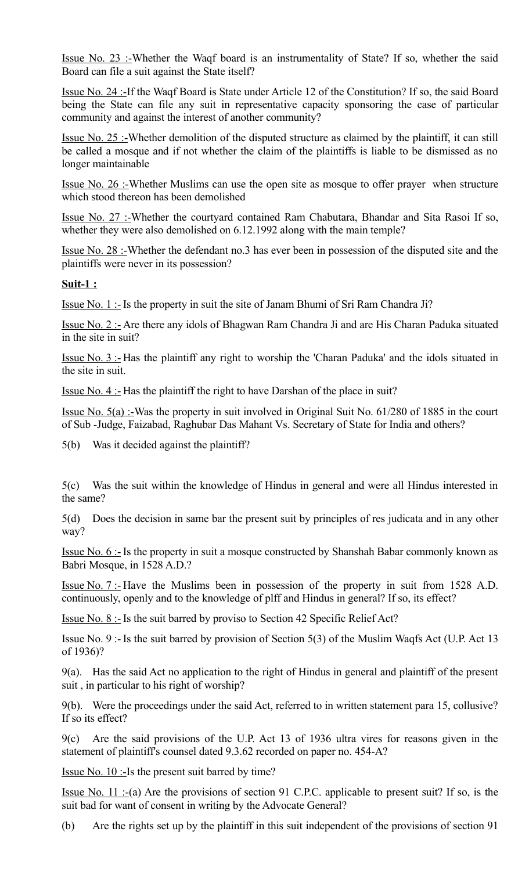Issue No. 23 :-Whether the Waqf board is an instrumentality of State? If so, whether the said Board can file a suit against the State itself?

Issue No. 24 :-If the Waqf Board is State under Article 12 of the Constitution? If so, the said Board being the State can file any suit in representative capacity sponsoring the case of particular community and against the interest of another community?

Issue No. 25 :-Whether demolition of the disputed structure as claimed by the plaintiff, it can still be called a mosque and if not whether the claim of the plaintiffs is liable to be dismissed as no longer maintainable

Issue No. 26 :-Whether Muslims can use the open site as mosque to offer prayer when structure which stood thereon has been demolished

Issue No. 27 :-Whether the courtyard contained Ram Chabutara, Bhandar and Sita Rasoi If so, whether they were also demolished on 6.12.1992 along with the main temple?

Issue No. 28 :-Whether the defendant no.3 has ever been in possession of the disputed site and the plaintiffs were never in its possession?

### **Suit-1 :**

Issue No. 1 :- Is the property in suit the site of Janam Bhumi of Sri Ram Chandra Ji?

Issue No. 2 :- Are there any idols of Bhagwan Ram Chandra Ji and are His Charan Paduka situated in the site in suit?

Issue No. 3 :- Has the plaintiff any right to worship the 'Charan Paduka' and the idols situated in the site in suit.

Issue No.  $4$  :- Has the plaintiff the right to have Darshan of the place in suit?

Issue No. 5(a) :-Was the property in suit involved in Original Suit No. 61/280 of 1885 in the court of Sub -Judge, Faizabad, Raghubar Das Mahant Vs. Secretary of State for India and others?

5(b) Was it decided against the plaintiff?

5(c) Was the suit within the knowledge of Hindus in general and were all Hindus interested in the same?

5(d) Does the decision in same bar the present suit by principles of res judicata and in any other way?

Issue No. 6 :- Is the property in suit a mosque constructed by Shanshah Babar commonly known as Babri Mosque, in 1528 A.D.?

Issue No. 7 :- Have the Muslims been in possession of the property in suit from 1528 A.D. continuously, openly and to the knowledge of plff and Hindus in general? If so, its effect?

Issue No. 8 :- Is the suit barred by proviso to Section 42 Specific Relief Act?

Issue No. 9 :- Is the suit barred by provision of Section 5(3) of the Muslim Waqfs Act (U.P. Act 13 of 1936)?

9(a). Has the said Act no application to the right of Hindus in general and plaintiff of the present suit , in particular to his right of worship?

9(b). Were the proceedings under the said Act, referred to in written statement para 15, collusive? If so its effect?

9(c) Are the said provisions of the U.P. Act 13 of 1936 ultra vires for reasons given in the statement of plaintiff's counsel dated 9.3.62 recorded on paper no. 454-A?

Issue No. 10 :-Is the present suit barred by time?

Issue No. 11 :-(a) Are the provisions of section 91 C.P.C. applicable to present suit? If so, is the suit bad for want of consent in writing by the Advocate General?

(b) Are the rights set up by the plaintiff in this suit independent of the provisions of section 91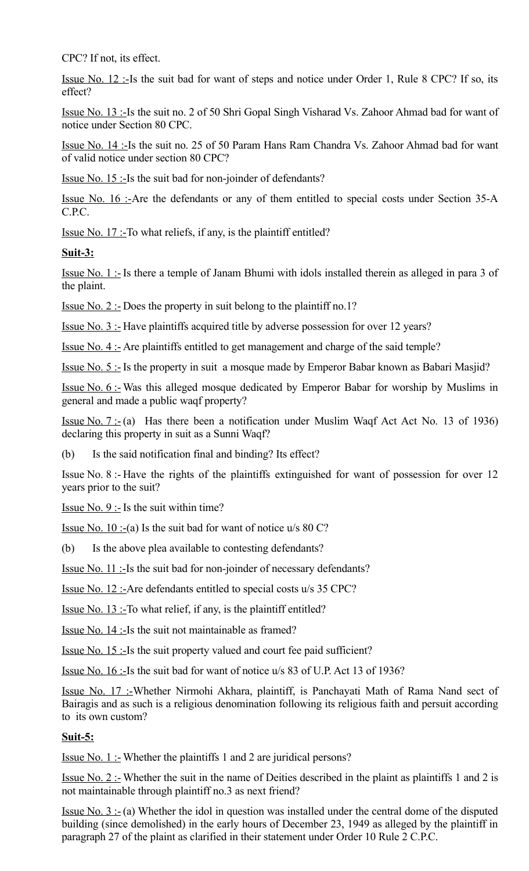CPC? If not, its effect.

Issue No. 12 :-Is the suit bad for want of steps and notice under Order 1, Rule 8 CPC? If so, its effect?

Issue No. 13 :-Is the suit no. 2 of 50 Shri Gopal Singh Visharad Vs. Zahoor Ahmad bad for want of notice under Section 80 CPC.

Issue No. 14 :-Is the suit no. 25 of 50 Param Hans Ram Chandra Vs. Zahoor Ahmad bad for want of valid notice under section 80 CPC?

Issue No. 15 :-Is the suit bad for non-joinder of defendants?

Issue No. 16 :-Are the defendants or any of them entitled to special costs under Section 35-A C.P.C.

Issue No.  $17:$ -To what reliefs, if any, is the plaintiff entitled?

## **Suit-3:**

Issue No. 1 :- Is there a temple of Janam Bhumi with idols installed therein as alleged in para 3 of the plaint.

Issue No.  $2$ : Does the property in suit belong to the plaintiff no.1?

Issue No. 3 :- Have plaintiffs acquired title by adverse possession for over 12 years?

Issue No. 4 :- Are plaintiffs entitled to get management and charge of the said temple?

Issue No. 5 :- Is the property in suit a mosque made by Emperor Babar known as Babari Masjid?

Issue No. 6 :- Was this alleged mosque dedicated by Emperor Babar for worship by Muslims in general and made a public waqf property?

Issue No.  $7:-(a)$  Has there been a notification under Muslim Waqf Act Act No. 13 of 1936) declaring this property in suit as a Sunni Waqf?

(b) Is the said notification final and binding? Its effect?

Issue No. 8 :- Have the rights of the plaintiffs extinguished for want of possession for over 12 years prior to the suit?

Issue No.  $9:$  Is the suit within time?

<u>Issue No. 10 :-</u>(a) Is the suit bad for want of notice  $u/s$  80 C?

(b) Is the above plea available to contesting defendants?

Issue No. 11 :-Is the suit bad for non-joinder of necessary defendants?

Issue No. 12 :-Are defendants entitled to special costs u/s 35 CPC?

Issue No.  $13:$ -To what relief, if any, is the plaintiff entitled?

Issue No. 14 :-Is the suit not maintainable as framed?

Issue No. 15 :-Is the suit property valued and court fee paid sufficient?

Issue No. 16 :-Is the suit bad for want of notice u/s 83 of U.P. Act 13 of 1936?

Issue No. 17 :-Whether Nirmohi Akhara, plaintiff, is Panchayati Math of Rama Nand sect of Bairagis and as such is a religious denomination following its religious faith and persuit according to its own custom?

## **Suit-5:**

Issue No. 1 :- Whether the plaintiffs 1 and 2 are juridical persons?

Issue No. 2 :- Whether the suit in the name of Deities described in the plaint as plaintiffs 1 and 2 is not maintainable through plaintiff no.3 as next friend?

Issue No.  $3:$  (a) Whether the idol in question was installed under the central dome of the disputed building (since demolished) in the early hours of December 23, 1949 as alleged by the plaintiff in paragraph 27 of the plaint as clarified in their statement under Order 10 Rule 2 C.P.C.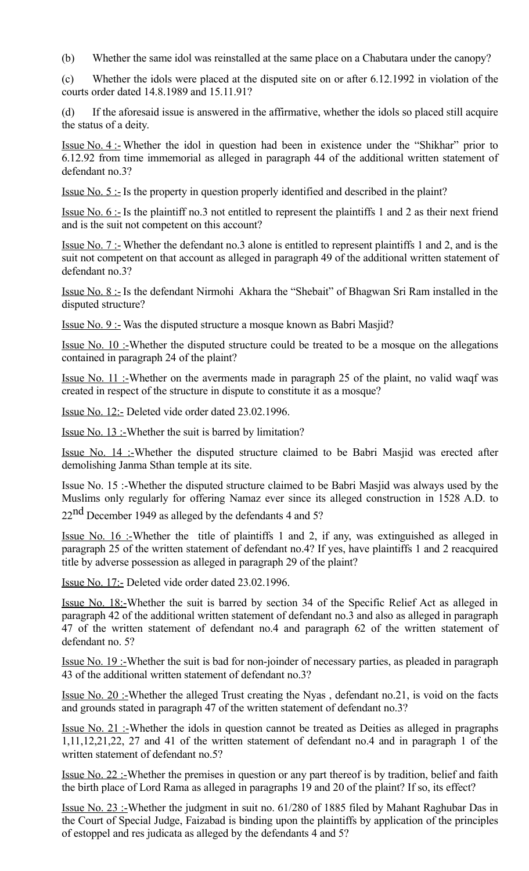(b) Whether the same idol was reinstalled at the same place on a Chabutara under the canopy?

(c) Whether the idols were placed at the disputed site on or after 6.12.1992 in violation of the courts order dated 14.8.1989 and 15.11.91?

(d) If the aforesaid issue is answered in the affirmative, whether the idols so placed still acquire the status of a deity.

Issue No.  $4$ :- Whether the idol in question had been in existence under the "Shikhar" prior to 6.12.92 from time immemorial as alleged in paragraph 44 of the additional written statement of defendant no.3?

Issue No.  $5:$  Is the property in question properly identified and described in the plaint?

Issue No.  $6$  :- Is the plaintiff no.3 not entitled to represent the plaintiffs 1 and 2 as their next friend and is the suit not competent on this account?

Issue No. 7 :- Whether the defendant no.3 alone is entitled to represent plaintiffs 1 and 2, and is the suit not competent on that account as alleged in paragraph 49 of the additional written statement of defendant no.3?

Issue No. 8 :- Is the defendant Nirmohi Akhara the "Shebait" of Bhagwan Sri Ram installed in the disputed structure?

Issue No. 9 :- Was the disputed structure a mosque known as Babri Masjid?

Issue No. 10 :-Whether the disputed structure could be treated to be a mosque on the allegations contained in paragraph 24 of the plaint?

Issue No. 11 :-Whether on the averments made in paragraph 25 of the plaint, no valid waqf was created in respect of the structure in dispute to constitute it as a mosque?

Issue No. 12:- Deleted vide order dated 23.02.1996.

Issue No. 13 :-Whether the suit is barred by limitation?

Issue No. 14 :-Whether the disputed structure claimed to be Babri Masjid was erected after demolishing Janma Sthan temple at its site.

Issue No. 15 :-Whether the disputed structure claimed to be Babri Masjid was always used by the Muslims only regularly for offering Namaz ever since its alleged construction in 1528 A.D. to

 $22<sup>nd</sup>$  December 1949 as alleged by the defendants 4 and 5?

Issue No. 16 :-Whether the title of plaintiffs 1 and 2, if any, was extinguished as alleged in paragraph 25 of the written statement of defendant no.4? If yes, have plaintiffs 1 and 2 reacquired title by adverse possession as alleged in paragraph 29 of the plaint?

Issue No. 17:- Deleted vide order dated 23.02.1996.

Issue No. 18:-Whether the suit is barred by section 34 of the Specific Relief Act as alleged in paragraph 42 of the additional written statement of defendant no.3 and also as alleged in paragraph 47 of the written statement of defendant no.4 and paragraph 62 of the written statement of defendant no. 5?

Issue No. 19 :-Whether the suit is bad for non-joinder of necessary parties, as pleaded in paragraph 43 of the additional written statement of defendant no.3?

Issue No. 20 :-Whether the alleged Trust creating the Nyas , defendant no.21, is void on the facts and grounds stated in paragraph 47 of the written statement of defendant no.3?

Issue No. 21 :-Whether the idols in question cannot be treated as Deities as alleged in pragraphs 1,11,12,21,22, 27 and 41 of the written statement of defendant no.4 and in paragraph 1 of the written statement of defendant no.5?

Issue No. 22 :-Whether the premises in question or any part thereof is by tradition, belief and faith the birth place of Lord Rama as alleged in paragraphs 19 and 20 of the plaint? If so, its effect?

Issue No. 23 :-Whether the judgment in suit no. 61/280 of 1885 filed by Mahant Raghubar Das in the Court of Special Judge, Faizabad is binding upon the plaintiffs by application of the principles of estoppel and res judicata as alleged by the defendants 4 and 5?